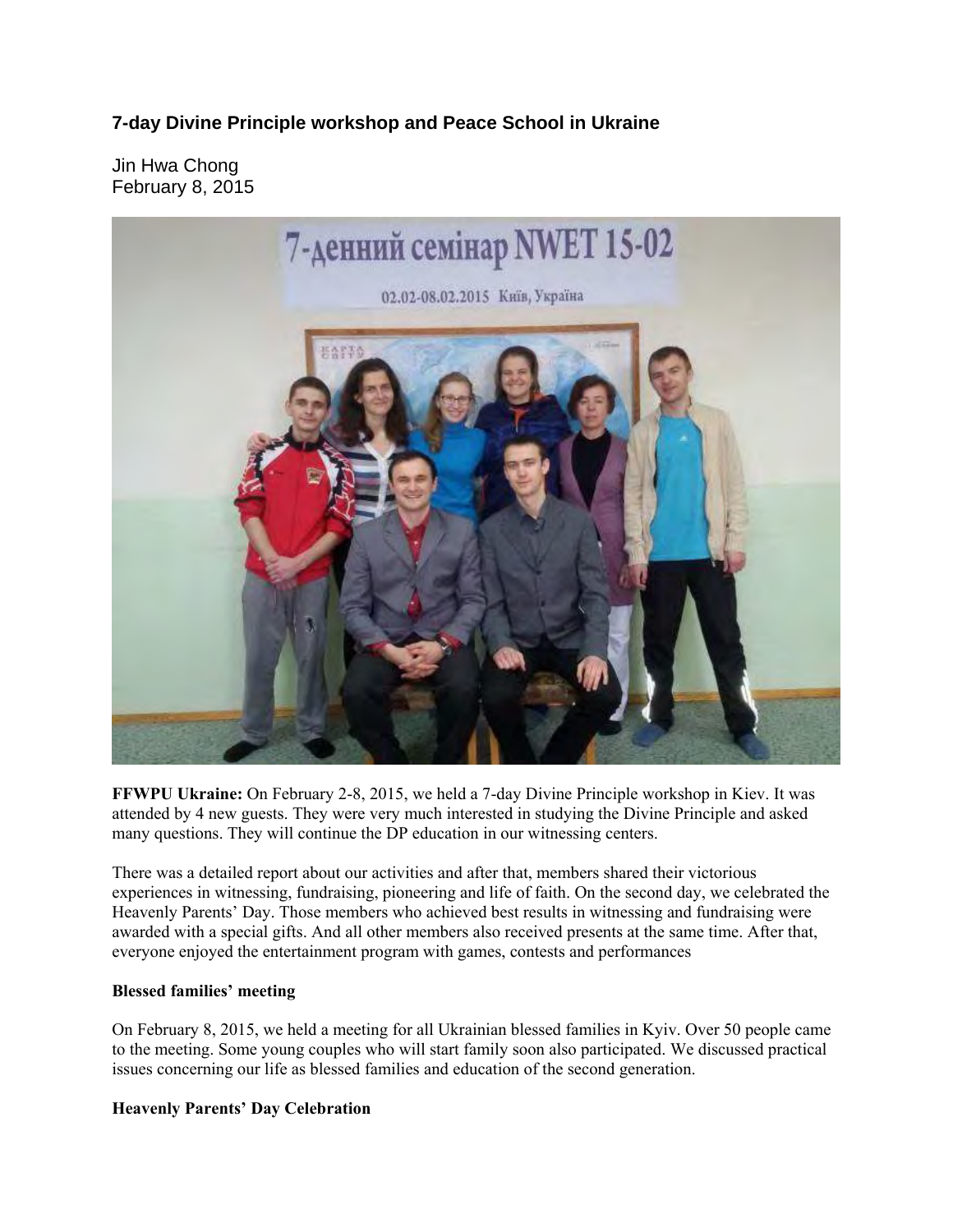## **7-day Divine Principle workshop and Peace School in Ukraine**

Jin Hwa Chong February 8, 2015



**FFWPU Ukraine:** On February 2-8, 2015, we held a 7-day Divine Principle workshop in Kiev. It was attended by 4 new guests. They were very much interested in studying the Divine Principle and asked many questions. They will continue the DP education in our witnessing centers.

There was a detailed report about our activities and after that, members shared their victorious experiences in witnessing, fundraising, pioneering and life of faith. On the second day, we celebrated the Heavenly Parents' Day. Those members who achieved best results in witnessing and fundraising were awarded with a special gifts. And all other members also received presents at the same time. After that, everyone enjoyed the entertainment program with games, contests and performances

## **Blessed families' meeting**

On February 8, 2015, we held a meeting for all Ukrainian blessed families in Kyiv. Over 50 people came to the meeting. Some young couples who will start family soon also participated. We discussed practical issues concerning our life as blessed families and education of the second generation.

## **Heavenly Parents' Day Celebration**